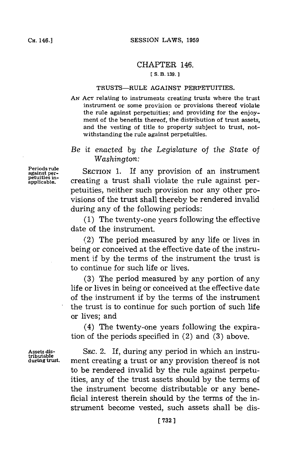## CHAPTER 146.

## **E S. B. 139. 1**

## **TRUSTS-RULE** AGAINST PERPETUITIES.

*AN* **ACT** relating to instruments creating trusts where the trust instrument or some provision or provisions thereof violate the rule against perpetuities; and providing for the enjoyment of the benefits thereof, the distribution of trust assets, and the vesting of title to property subject to trust, notwithstanding the rule against perpetuities.

## *Be it enacted by the Legislature* of *the State of Washington:*

Periods **rule** against per-<br>petuities in-<br>applicable.

SECTION 1. If any provision of an instrument **applicable,** creating a trust shall violate the rule against perpetuities, neither such provision nor any other provisions of the trust shall thereby be rendered invalid during any of the following periods:

**(1)** The twenty-one years following the effective date of the instrument.

(2) The period measured **by** any life or lives in being or conceived at the effective date of the instrument if **by** the terms of the instrument the trust is to continue for such life or lives.

**(3)** The period measured **by** any portion of any life or lives in being or conceived at the effective date of the instrument if **by** the terms of the instrument the trust is to continue for such portion of such life or lives; and

(4) The twenty-one years following the expiration of the periods specified in (2) and **(3)** above.

Assets dis-<br>tributable<br>during trust. ment creating a trust or any provision thereof is not ment creating a trust or any provision thereof is not to be rendered invalid **by** the rule against perpetuities, any of the trust assets should **by** the terms of the instrument become distributable or any beneficial interest therein should **by** the terms of the instrument become vested, such assets shall be dis-